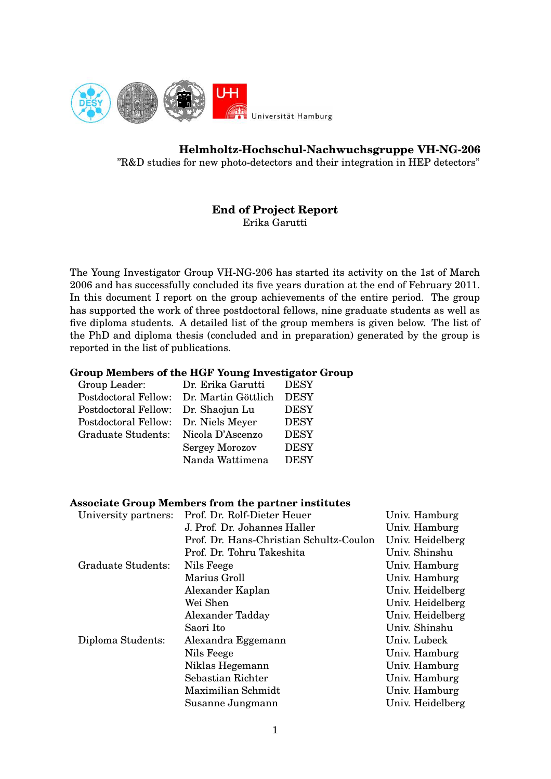

# **Helmholtz-Hochschul-Nachwuchsgruppe VH-NG-206**

"R&D studies for new photo-detectors and their integration in HEP detectors"

## **End of Project Report** Erika Garutti

The Young Investigator Group VH-NG-206 has started its activity on the 1st of March 2006 and has successfully concluded its five years duration at the end of February 2011. In this document I report on the group achievements of the entire period. The group has supported the work of three postdoctoral fellows, nine graduate students as well as five diploma students. A detailed list of the group members is given below. The list of the PhD and diploma thesis (concluded and in preparation) generated by the group is reported in the list of publications.

### **Group Members of the HGF Young Investigator Group**

| Group Leader:                        | Dr. Erika Garutti     | <b>DESY</b> |
|--------------------------------------|-----------------------|-------------|
| Postdoctoral Fellow:                 | Dr. Martin Göttlich   | <b>DESY</b> |
| Postdoctoral Fellow: Dr. Shaojun Lu  |                       | <b>DESY</b> |
| Postdoctoral Fellow: Dr. Niels Meyer |                       | <b>DESY</b> |
| Graduate Students:                   | Nicola D'Ascenzo      | <b>DESY</b> |
|                                      | <b>Sergey Morozov</b> | <b>DESY</b> |
|                                      | Nanda Wattimena       | <b>DESY</b> |

### **Associate Group Members from the partner institutes**

| University partners: | Prof. Dr. Rolf-Dieter Heuer             | Univ. Hamburg    |
|----------------------|-----------------------------------------|------------------|
|                      | J. Prof. Dr. Johannes Haller            | Univ. Hamburg    |
|                      | Prof. Dr. Hans-Christian Schultz-Coulon | Univ. Heidelberg |
|                      | Prof. Dr. Tohru Takeshita               | Univ. Shinshu    |
| Graduate Students:   | Nils Feege                              | Univ. Hamburg    |
|                      | Marius Groll                            | Univ. Hamburg    |
|                      | Alexander Kaplan                        | Univ. Heidelberg |
|                      | Wei Shen                                | Univ. Heidelberg |
|                      | Alexander Tadday                        | Univ. Heidelberg |
|                      | Saori Ito                               | Univ. Shinshu    |
| Diploma Students:    | Alexandra Eggemann                      | Univ. Lubeck     |
|                      | Nils Feege                              | Univ. Hamburg    |
|                      | Niklas Hegemann                         | Univ. Hamburg    |
|                      | Sebastian Richter                       | Univ. Hamburg    |
|                      | Maximilian Schmidt                      | Univ. Hamburg    |
|                      | Susanne Jungmann                        | Univ. Heidelberg |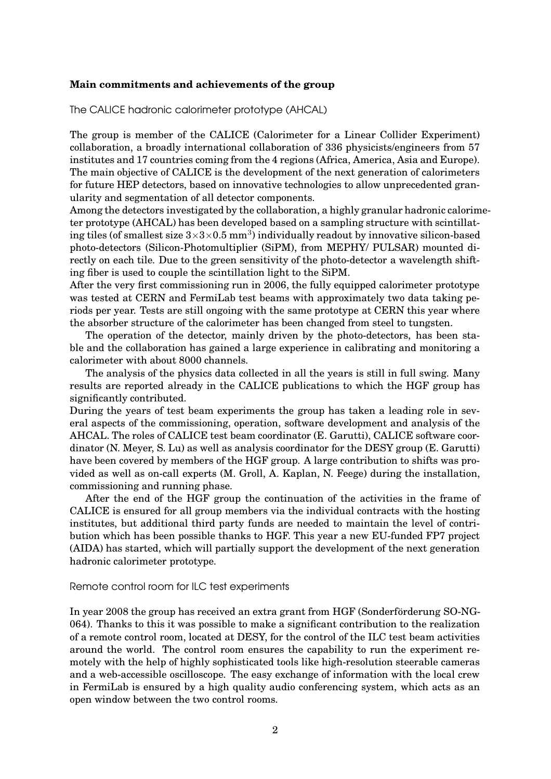#### **Main commitments and achievements of the group**

The CALICE hadronic calorimeter prototype (AHCAL)

The group is member of the CALICE (Calorimeter for a Linear Collider Experiment) collaboration, a broadly international collaboration of 336 physicists/engineers from 57 institutes and 17 countries coming from the 4 regions (Africa, America, Asia and Europe). The main objective of CALICE is the development of the next generation of calorimeters for future HEP detectors, based on innovative technologies to allow unprecedented granularity and segmentation of all detector components.

Among the detectors investigated by the collaboration, a highly granular hadronic calorimeter prototype (AHCAL) has been developed based on a sampling structure with scintillating tiles (of smallest size  $3\times3\times0.5$  mm<sup>3</sup>) individually readout by innovative silicon-based photo-detectors (Silicon-Photomultiplier (SiPM), from MEPHY/ PULSAR) mounted directly on each tile. Due to the green sensitivity of the photo-detector a wavelength shifting fiber is used to couple the scintillation light to the SiPM.

After the very first commissioning run in 2006, the fully equipped calorimeter prototype was tested at CERN and FermiLab test beams with approximately two data taking periods per year. Tests are still ongoing with the same prototype at CERN this year where the absorber structure of the calorimeter has been changed from steel to tungsten.

The operation of the detector, mainly driven by the photo-detectors, has been stable and the collaboration has gained a large experience in calibrating and monitoring a calorimeter with about 8000 channels.

The analysis of the physics data collected in all the years is still in full swing. Many results are reported already in the CALICE publications to which the HGF group has significantly contributed.

During the years of test beam experiments the group has taken a leading role in several aspects of the commissioning, operation, software development and analysis of the AHCAL. The roles of CALICE test beam coordinator (E. Garutti), CALICE software coordinator (N. Meyer, S. Lu) as well as analysis coordinator for the DESY group (E. Garutti) have been covered by members of the HGF group. A large contribution to shifts was provided as well as on-call experts (M. Groll, A. Kaplan, N. Feege) during the installation, commissioning and running phase.

After the end of the HGF group the continuation of the activities in the frame of CALICE is ensured for all group members via the individual contracts with the hosting institutes, but additional third party funds are needed to maintain the level of contribution which has been possible thanks to HGF. This year a new EU-funded FP7 project (AIDA) has started, which will partially support the development of the next generation hadronic calorimeter prototype.

#### Remote control room for ILC test experiments

In year 2008 the group has received an extra grant from HGF (Sonderförderung SO-NG-064). Thanks to this it was possible to make a significant contribution to the realization of a remote control room, located at DESY, for the control of the ILC test beam activities around the world. The control room ensures the capability to run the experiment remotely with the help of highly sophisticated tools like high-resolution steerable cameras and a web-accessible oscilloscope. The easy exchange of information with the local crew in FermiLab is ensured by a high quality audio conferencing system, which acts as an open window between the two control rooms.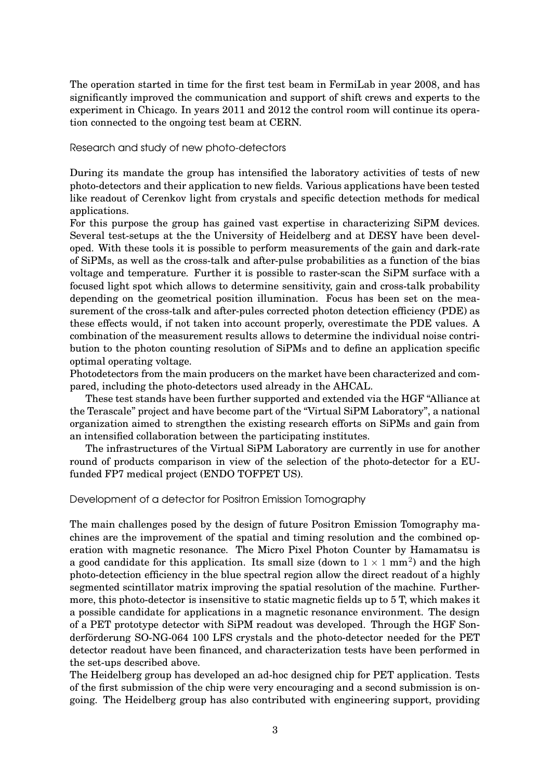The operation started in time for the first test beam in FermiLab in year 2008, and has significantly improved the communication and support of shift crews and experts to the experiment in Chicago. In years 2011 and 2012 the control room will continue its operation connected to the ongoing test beam at CERN.

Research and study of new photo-detectors

During its mandate the group has intensified the laboratory activities of tests of new photo-detectors and their application to new fields. Various applications have been tested like readout of Cerenkov light from crystals and specific detection methods for medical applications.

For this purpose the group has gained vast expertise in characterizing SiPM devices. Several test-setups at the the University of Heidelberg and at DESY have been developed. With these tools it is possible to perform measurements of the gain and dark-rate of SiPMs, as well as the cross-talk and after-pulse probabilities as a function of the bias voltage and temperature. Further it is possible to raster-scan the SiPM surface with a focused light spot which allows to determine sensitivity, gain and cross-talk probability depending on the geometrical position illumination. Focus has been set on the measurement of the cross-talk and after-pules corrected photon detection efficiency (PDE) as these effects would, if not taken into account properly, overestimate the PDE values. A combination of the measurement results allows to determine the individual noise contribution to the photon counting resolution of SiPMs and to define an application specific optimal operating voltage.

Photodetectors from the main producers on the market have been characterized and compared, including the photo-detectors used already in the AHCAL.

These test stands have been further supported and extended via the HGF "Alliance at the Terascale" project and have become part of the "Virtual SiPM Laboratory", a national organization aimed to strengthen the existing research efforts on SiPMs and gain from an intensified collaboration between the participating institutes.

The infrastructures of the Virtual SiPM Laboratory are currently in use for another round of products comparison in view of the selection of the photo-detector for a EUfunded FP7 medical project (ENDO TOFPET US).

Development of a detector for Positron Emission Tomography

The main challenges posed by the design of future Positron Emission Tomography machines are the improvement of the spatial and timing resolution and the combined operation with magnetic resonance. The Micro Pixel Photon Counter by Hamamatsu is a good candidate for this application. Its small size (down to  $1 \times 1$  mm<sup>2</sup>) and the high photo-detection efficiency in the blue spectral region allow the direct readout of a highly segmented scintillator matrix improving the spatial resolution of the machine. Furthermore, this photo-detector is insensitive to static magnetic fields up to 5 T, which makes it a possible candidate for applications in a magnetic resonance environment. The design of a PET prototype detector with SiPM readout was developed. Through the HGF Sonderförderung SO-NG-064 100 LFS crystals and the photo-detector needed for the PET detector readout have been financed, and characterization tests have been performed in the set-ups described above.

The Heidelberg group has developed an ad-hoc designed chip for PET application. Tests of the first submission of the chip were very encouraging and a second submission is ongoing. The Heidelberg group has also contributed with engineering support, providing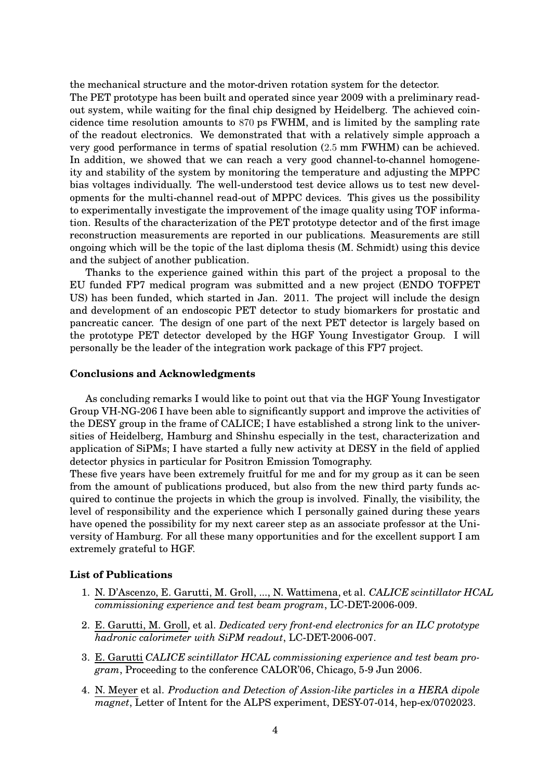the mechanical structure and the motor-driven rotation system for the detector.

The PET prototype has been built and operated since year 2009 with a preliminary readout system, while waiting for the final chip designed by Heidelberg. The achieved coincidence time resolution amounts to 870 ps FWHM, and is limited by the sampling rate of the readout electronics. We demonstrated that with a relatively simple approach a very good performance in terms of spatial resolution (2.5 mm FWHM) can be achieved. In addition, we showed that we can reach a very good channel-to-channel homogeneity and stability of the system by monitoring the temperature and adjusting the MPPC bias voltages individually. The well-understood test device allows us to test new developments for the multi-channel read-out of MPPC devices. This gives us the possibility to experimentally investigate the improvement of the image quality using TOF information. Results of the characterization of the PET prototype detector and of the first image reconstruction measurements are reported in our publications. Measurements are still ongoing which will be the topic of the last diploma thesis (M. Schmidt) using this device and the subject of another publication.

Thanks to the experience gained within this part of the project a proposal to the EU funded FP7 medical program was submitted and a new project (ENDO TOFPET US) has been funded, which started in Jan. 2011. The project will include the design and development of an endoscopic PET detector to study biomarkers for prostatic and pancreatic cancer. The design of one part of the next PET detector is largely based on the prototype PET detector developed by the HGF Young Investigator Group. I will personally be the leader of the integration work package of this FP7 project.

#### **Conclusions and Acknowledgments**

As concluding remarks I would like to point out that via the HGF Young Investigator Group VH-NG-206 I have been able to significantly support and improve the activities of the DESY group in the frame of CALICE; I have established a strong link to the universities of Heidelberg, Hamburg and Shinshu especially in the test, characterization and application of SiPMs; I have started a fully new activity at DESY in the field of applied detector physics in particular for Positron Emission Tomography.

These five years have been extremely fruitful for me and for my group as it can be seen from the amount of publications produced, but also from the new third party funds acquired to continue the projects in which the group is involved. Finally, the visibility, the level of responsibility and the experience which I personally gained during these years have opened the possibility for my next career step as an associate professor at the University of Hamburg. For all these many opportunities and for the excellent support I am extremely grateful to HGF.

#### **List of Publications**

- 1. N. D'Ascenzo, E. Garutti, M. Groll, ..., N. Wattimena, et al. *CALICE scintillator HCAL commissioning experience and test beam program*, LC-DET-2006-009.
- 2. E. Garutti, M. Groll, et al. *Dedicated very front-end electronics for an ILC prototype hadronic calorimeter with SiPM readout*, LC-DET-2006-007.
- 3. E. Garutti *CALICE scintillator HCAL commissioning experience and test beam program*, Proceeding to the conference CALOR'06, Chicago, 5-9 Jun 2006.
- 4. N. Meyer et al. *Production and Detection of Assion-like particles in a HERA dipole magnet*, Letter of Intent for the ALPS experiment, DESY-07-014, hep-ex/0702023.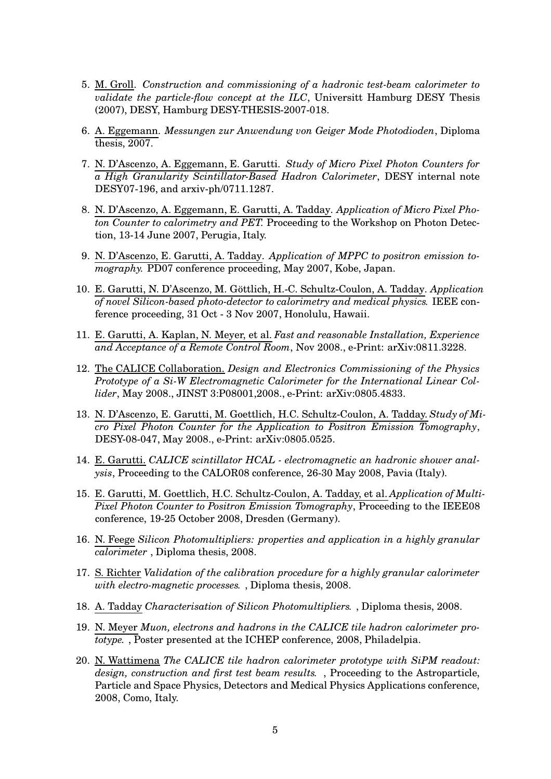- 5. M. Groll. *Construction and commissioning of a hadronic test-beam calorimeter to validate the particle-flow concept at the ILC*, Universitt Hamburg DESY Thesis (2007), DESY, Hamburg DESY-THESIS-2007-018.
- 6. A. Eggemann. *Messungen zur Anwendung von Geiger Mode Photodioden*, Diploma thesis, 2007.
- 7. N. D'Ascenzo, A. Eggemann, E. Garutti. *Study of Micro Pixel Photon Counters for a High Granularity Scintillator-Based Hadron Calorimeter*, DESY internal note DESY07-196, and arxiv-ph/0711.1287.
- 8. N. D'Ascenzo, A. Eggemann, E. Garutti, A. Tadday. *Application of Micro Pixel Photon Counter to calorimetry and PET.* Proceeding to the Workshop on Photon Detection, 13-14 June 2007, Perugia, Italy.
- 9. N. D'Ascenzo, E. Garutti, A. Tadday. *Application of MPPC to positron emission tomography.* PD07 conference proceeding, May 2007, Kobe, Japan.
- 10. E. Garutti, N. D'Ascenzo, M. Göttlich, H.-C. Schultz-Coulon, A. Tadday. *Application of novel Silicon-based photo-detector to calorimetry and medical physics.* IEEE conference proceeding, 31 Oct - 3 Nov 2007, Honolulu, Hawaii.
- 11. E. Garutti, A. Kaplan, N. Meyer, et al. *Fast and reasonable Installation, Experience and Acceptance of a Remote Control Room*, Nov 2008., e-Print: arXiv:0811.3228.
- 12. The CALICE Collaboration. *Design and Electronics Commissioning of the Physics Prototype of a Si-W Electromagnetic Calorimeter for the International Linear Collider*, May 2008., JINST 3:P08001,2008., e-Print: arXiv:0805.4833.
- 13. N. D'Ascenzo, E. Garutti, M. Goettlich, H.C. Schultz-Coulon, A. Tadday. *Study of Micro Pixel Photon Counter for the Application to Positron Emission Tomography*, DESY-08-047, May 2008., e-Print: arXiv:0805.0525.
- 14. E. Garutti. *CALICE scintillator HCAL - electromagnetic an hadronic shower analysis*, Proceeding to the CALOR08 conference, 26-30 May 2008, Pavia (Italy).
- 15. E. Garutti, M. Goettlich, H.C. Schultz-Coulon, A. Tadday, et al. *Application of Multi-Pixel Photon Counter to Positron Emission Tomography*, Proceeding to the IEEE08 conference, 19-25 October 2008, Dresden (Germany).
- 16. N. Feege *Silicon Photomultipliers: properties and application in a highly granular calorimeter* , Diploma thesis, 2008.
- 17. S. Richter *Validation of the calibration procedure for a highly granular calorimeter with electro-magnetic processes.* , Diploma thesis, 2008.
- 18. A. Tadday *Characterisation of Silicon Photomultipliers.* , Diploma thesis, 2008.
- 19. N. Meyer *Muon, electrons and hadrons in the CALICE tile hadron calorimeter prototype.* , Poster presented at the ICHEP conference, 2008, Philadelpia.
- 20. N. Wattimena *The CALICE tile hadron calorimeter prototype with SiPM readout: design, construction and first test beam results.* , Proceeding to the Astroparticle, Particle and Space Physics, Detectors and Medical Physics Applications conference, 2008, Como, Italy.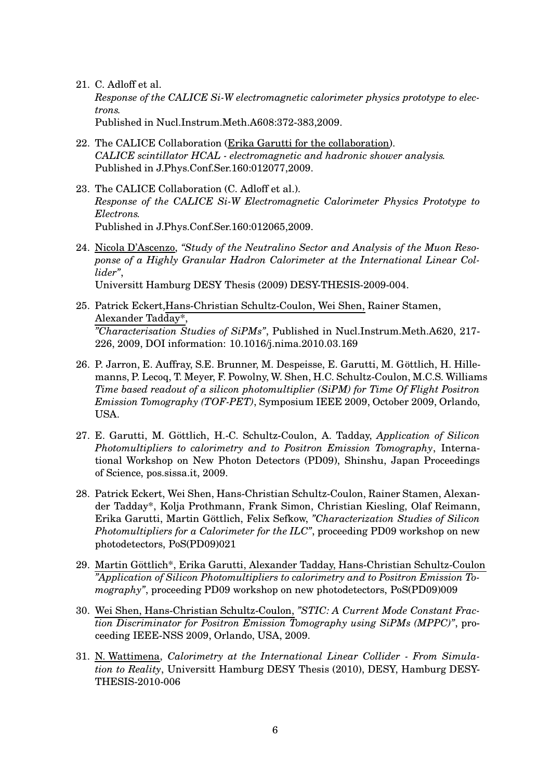21. C. Adloff et al.

*Response of the CALICE Si-W electromagnetic calorimeter physics prototype to electrons.*

Published in Nucl.Instrum.Meth.A608:372-383,2009.

- 22. The CALICE Collaboration (Erika Garutti for the collaboration). *CALICE scintillator HCAL - electromagnetic and hadronic shower analysis.* Published in J.Phys.Conf.Ser.160:012077,2009.
- 23. The CALICE Collaboration (C. Adloff et al.). *Response of the CALICE Si-W Electromagnetic Calorimeter Physics Prototype to Electrons.* Published in J.Phys.Conf.Ser.160:012065,2009.
- 24. Nicola D'Ascenzo, *"Study of the Neutralino Sector and Analysis of the Muon Resoponse of a Highly Granular Hadron Calorimeter at the International Linear Collider"*,

Universitt Hamburg DESY Thesis (2009) DESY-THESIS-2009-004.

- 25. Patrick Eckert,Hans-Christian Schultz-Coulon, Wei Shen, Rainer Stamen, Alexander Tadday\*, *"Characterisation Studies of SiPMs"*, Published in Nucl.Instrum.Meth.A620, 217- 226, 2009, DOI information: 10.1016/j.nima.2010.03.169
- 26. P. Jarron, E. Auffray, S.E. Brunner, M. Despeisse, E. Garutti, M. Göttlich, H. Hillemanns, P. Lecoq, T. Meyer, F. Powolny, W. Shen, H.C. Schultz-Coulon, M.C.S. Williams *Time based readout of a silicon photomultiplier (SiPM) for Time Of Flight Positron Emission Tomography (TOF-PET)*, Symposium IEEE 2009, October 2009, Orlando, USA.
- 27. E. Garutti, M. Göttlich, H.-C. Schultz-Coulon, A. Tadday, *Application* of *Silicon Photomultipliers to calorimetry and to Positron Emission Tomography*, International Workshop on New Photon Detectors (PD09), Shinshu, Japan Proceedings of Science, pos.sissa.it, 2009.
- 28. Patrick Eckert, Wei Shen, Hans-Christian Schultz-Coulon, Rainer Stamen, Alexander Tadday\*, Kolja Prothmann, Frank Simon, Christian Kiesling, Olaf Reimann, Erika Garutti, Martin Göttlich, Felix Sefkow, "Characterization Studies of Silicon *Photomultipliers for a Calorimeter for the ILC"*, proceeding PD09 workshop on new photodetectors, PoS(PD09)021
- 29. Martin Göttlich\*, Erika Garutti, Alexander Tadday, Hans-Christian Schultz-Coulon *"Application of Silicon Photomultipliers to calorimetry and to Positron Emission Tomography"*, proceeding PD09 workshop on new photodetectors, PoS(PD09)009
- 30. Wei Shen, Hans-Christian Schultz-Coulon, *"STIC: A Current Mode Constant Fraction Discriminator for Positron Emission Tomography using SiPMs (MPPC)"*, proceeding IEEE-NSS 2009, Orlando, USA, 2009.
- 31. N. Wattimena, *Calorimetry at the International Linear Collider - From Simulation to Reality*, Universitt Hamburg DESY Thesis (2010), DESY, Hamburg DESY-THESIS-2010-006